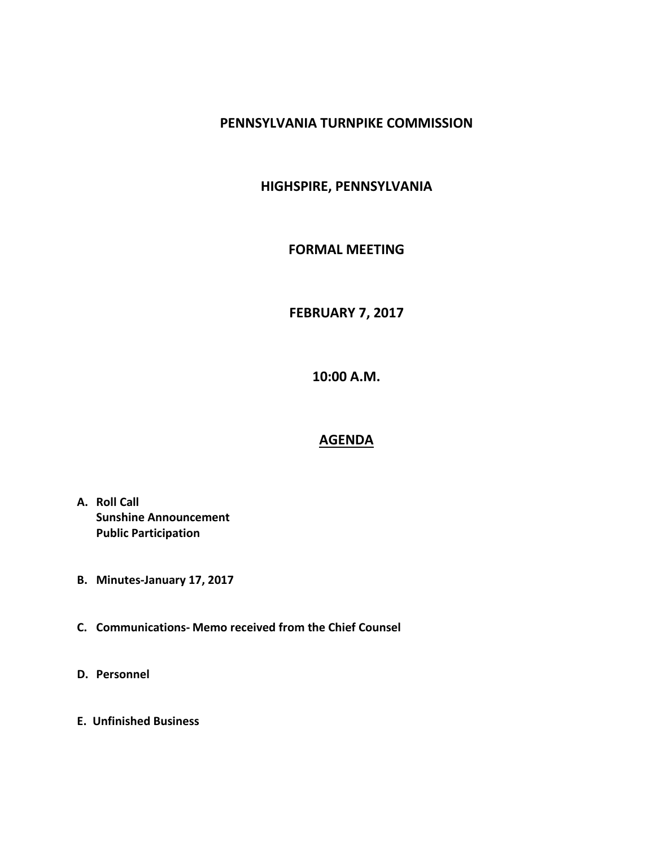### **PENNSYLVANIA TURNPIKE COMMISSION**

# **HIGHSPIRE, PENNSYLVANIA**

#### **FORMAL MEETING**

# **FEBRUARY 7, 2017**

**10:00 A.M.**

## **AGENDA**

- **A. Roll Call Sunshine Announcement Public Participation**
- **B. Minutes-January 17, 2017**
- **C. Communications- Memo received from the Chief Counsel**
- **D. Personnel**
- **E. Unfinished Business**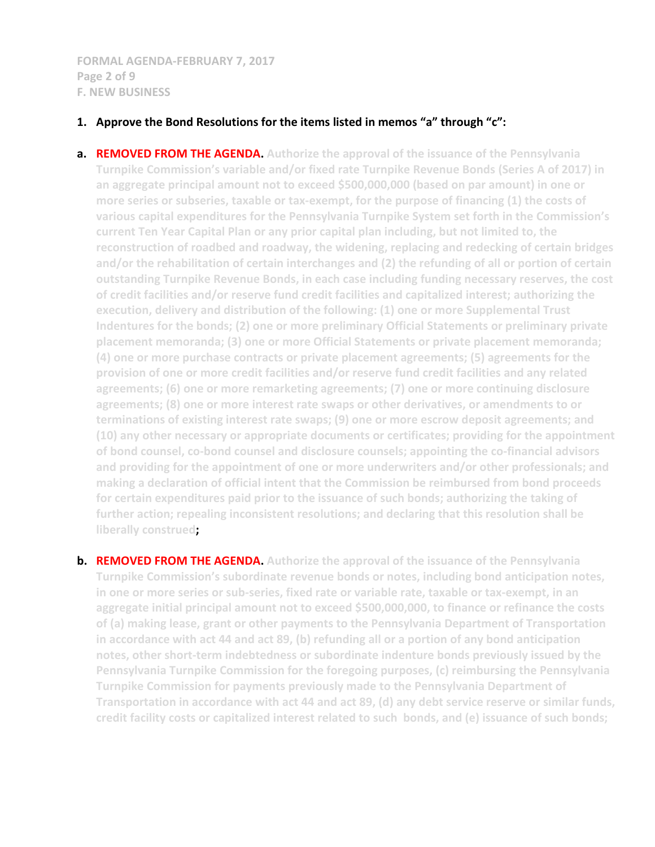**FORMAL AGENDA-FEBRUARY 7, 2017 Page 2 of 9 F. NEW BUSINESS**

#### **1. Approve the Bond Resolutions for the items listed in memos "a" through "c":**

- **a. REMOVED FROM THE AGENDA. Authorize the approval of the issuance of the Pennsylvania Turnpike Commission's variable and/or fixed rate Turnpike Revenue Bonds (Series A of 2017) in an aggregate principal amount not to exceed \$500,000,000 (based on par amount) in one or more series or subseries, taxable or tax-exempt, for the purpose of financing (1) the costs of various capital expenditures for the Pennsylvania Turnpike System set forth in the Commission's current Ten Year Capital Plan or any prior capital plan including, but not limited to, the reconstruction of roadbed and roadway, the widening, replacing and redecking of certain bridges and/or the rehabilitation of certain interchanges and (2) the refunding of all or portion of certain outstanding Turnpike Revenue Bonds, in each case including funding necessary reserves, the cost of credit facilities and/or reserve fund credit facilities and capitalized interest; authorizing the execution, delivery and distribution of the following: (1) one or more Supplemental Trust Indentures for the bonds; (2) one or more preliminary Official Statements or preliminary private placement memoranda; (3) one or more Official Statements or private placement memoranda; (4) one or more purchase contracts or private placement agreements; (5) agreements for the provision of one or more credit facilities and/or reserve fund credit facilities and any related agreements; (6) one or more remarketing agreements; (7) one or more continuing disclosure agreements; (8) one or more interest rate swaps or other derivatives, or amendments to or terminations of existing interest rate swaps; (9) one or more escrow deposit agreements; and (10) any other necessary or appropriate documents or certificates; providing for the appointment of bond counsel, co-bond counsel and disclosure counsels; appointing the co-financial advisors and providing for the appointment of one or more underwriters and/or other professionals; and making a declaration of official intent that the Commission be reimbursed from bond proceeds for certain expenditures paid prior to the issuance of such bonds; authorizing the taking of further action; repealing inconsistent resolutions; and declaring that this resolution shall be liberally construed;**
- **b. REMOVED FROM THE AGENDA.** Authorize the approval of the issuance of the Pennsylvania **Turnpike Commission's subordinate revenue bonds or notes, including bond anticipation notes, in one or more series or sub-series, fixed rate or variable rate, taxable or tax-exempt, in an aggregate initial principal amount not to exceed \$500,000,000, to finance or refinance the costs of (a) making lease, grant or other payments to the Pennsylvania Department of Transportation in accordance with act 44 and act 89, (b) refunding all or a portion of any bond anticipation notes, other short-term indebtedness or subordinate indenture bonds previously issued by the Pennsylvania Turnpike Commission for the foregoing purposes, (c) reimbursing the Pennsylvania Turnpike Commission for payments previously made to the Pennsylvania Department of Transportation in accordance with act 44 and act 89, (d) any debt service reserve or similar funds, credit facility costs or capitalized interest related to such bonds, and (e) issuance of such bonds;**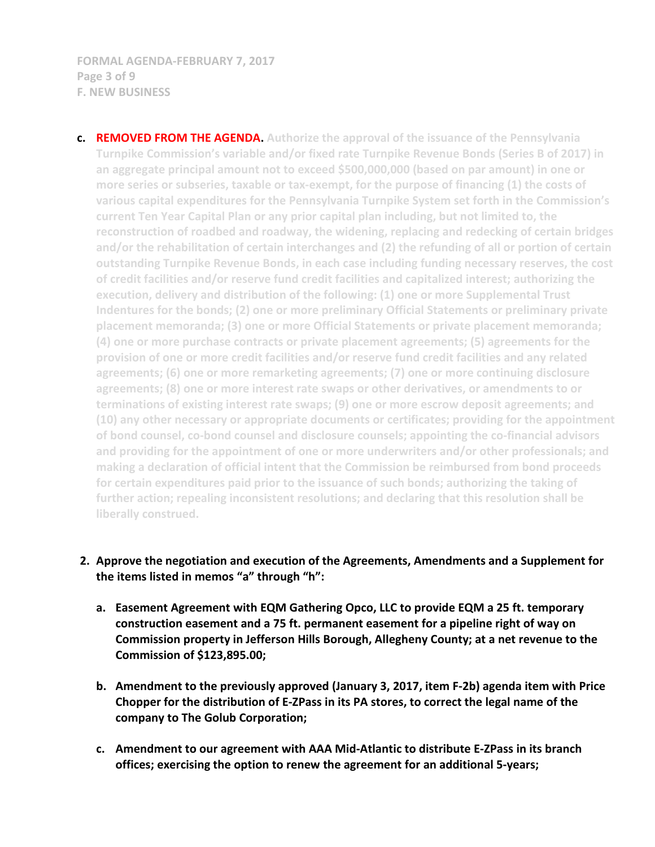**FORMAL AGENDA-FEBRUARY 7, 2017 Page 3 of 9 F. NEW BUSINESS**

**c. REMOVED FROM THE AGENDA. Authorize the approval of the issuance of the Pennsylvania Turnpike Commission's variable and/or fixed rate Turnpike Revenue Bonds (Series B of 2017) in an aggregate principal amount not to exceed \$500,000,000 (based on par amount) in one or more series or subseries, taxable or tax-exempt, for the purpose of financing (1) the costs of various capital expenditures for the Pennsylvania Turnpike System set forth in the Commission's current Ten Year Capital Plan or any prior capital plan including, but not limited to, the reconstruction of roadbed and roadway, the widening, replacing and redecking of certain bridges and/or the rehabilitation of certain interchanges and (2) the refunding of all or portion of certain outstanding Turnpike Revenue Bonds, in each case including funding necessary reserves, the cost of credit facilities and/or reserve fund credit facilities and capitalized interest; authorizing the execution, delivery and distribution of the following: (1) one or more Supplemental Trust Indentures for the bonds; (2) one or more preliminary Official Statements or preliminary private placement memoranda; (3) one or more Official Statements or private placement memoranda; (4) one or more purchase contracts or private placement agreements; (5) agreements for the provision of one or more credit facilities and/or reserve fund credit facilities and any related agreements; (6) one or more remarketing agreements; (7) one or more continuing disclosure agreements; (8) one or more interest rate swaps or other derivatives, or amendments to or terminations of existing interest rate swaps; (9) one or more escrow deposit agreements; and (10) any other necessary or appropriate documents or certificates; providing for the appointment of bond counsel, co-bond counsel and disclosure counsels; appointing the co-financial advisors and providing for the appointment of one or more underwriters and/or other professionals; and making a declaration of official intent that the Commission be reimbursed from bond proceeds for certain expenditures paid prior to the issuance of such bonds; authorizing the taking of further action; repealing inconsistent resolutions; and declaring that this resolution shall be liberally construed.**

## **2. Approve the negotiation and execution of the Agreements, Amendments and a Supplement for the items listed in memos "a" through "h":**

- **a. Easement Agreement with EQM Gathering Opco, LLC to provide EQM a 25 ft. temporary construction easement and a 75 ft. permanent easement for a pipeline right of way on Commission property in Jefferson Hills Borough, Allegheny County; at a net revenue to the Commission of \$123,895.00;**
- **b. Amendment to the previously approved (January 3, 2017, item F-2b) agenda item with Price Chopper for the distribution of E-ZPass in its PA stores, to correct the legal name of the company to The Golub Corporation;**
- **c. Amendment to our agreement with AAA Mid-Atlantic to distribute E-ZPass in its branch offices; exercising the option to renew the agreement for an additional 5-years;**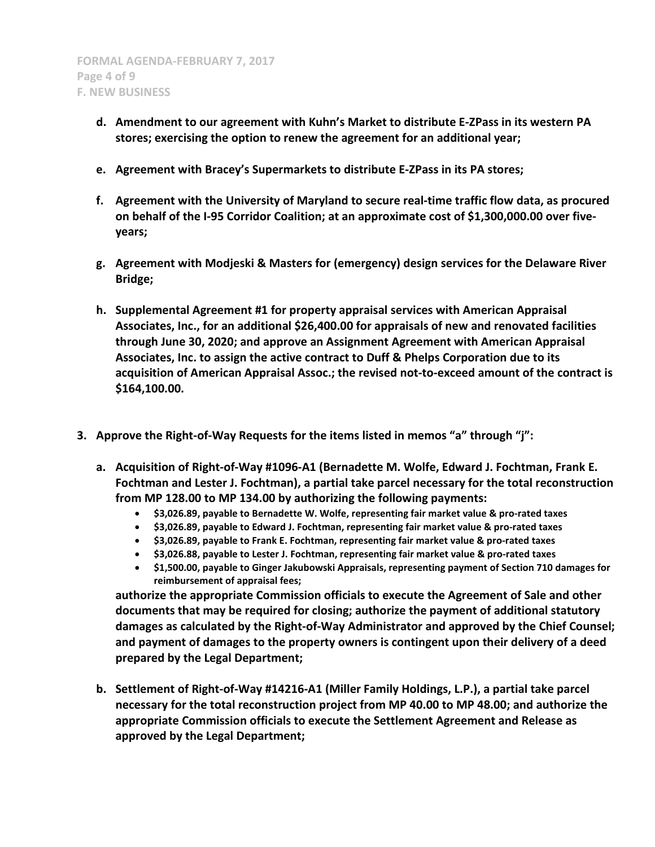- **d. Amendment to our agreement with Kuhn's Market to distribute E-ZPass in its western PA stores; exercising the option to renew the agreement for an additional year;**
- **e. Agreement with Bracey's Supermarkets to distribute E-ZPass in its PA stores;**
- **f. Agreement with the University of Maryland to secure real-time traffic flow data, as procured on behalf of the I-95 Corridor Coalition; at an approximate cost of \$1,300,000.00 over fiveyears;**
- **g. Agreement with Modjeski & Masters for (emergency) design services for the Delaware River Bridge;**
- **h. Supplemental Agreement #1 for property appraisal services with American Appraisal Associates, Inc., for an additional \$26,400.00 for appraisals of new and renovated facilities through June 30, 2020; and approve an Assignment Agreement with American Appraisal Associates, Inc. to assign the active contract to Duff & Phelps Corporation due to its acquisition of American Appraisal Assoc.; the revised not-to-exceed amount of the contract is \$164,100.00.**
- **3. Approve the Right-of-Way Requests for the items listed in memos "a" through "j":**
	- **a. Acquisition of Right-of-Way #1096-A1 (Bernadette M. Wolfe, Edward J. Fochtman, Frank E. Fochtman and Lester J. Fochtman), a partial take parcel necessary for the total reconstruction from MP 128.00 to MP 134.00 by authorizing the following payments:**
		- **\$3,026.89, payable to Bernadette W. Wolfe, representing fair market value & pro-rated taxes**
		- **\$3,026.89, payable to Edward J. Fochtman, representing fair market value & pro-rated taxes**
		- **\$3,026.89, payable to Frank E. Fochtman, representing fair market value & pro-rated taxes**
		- **\$3,026.88, payable to Lester J. Fochtman, representing fair market value & pro-rated taxes**
		- **\$1,500.00, payable to Ginger Jakubowski Appraisals, representing payment of Section 710 damages for reimbursement of appraisal fees;**

**authorize the appropriate Commission officials to execute the Agreement of Sale and other documents that may be required for closing; authorize the payment of additional statutory damages as calculated by the Right-of-Way Administrator and approved by the Chief Counsel; and payment of damages to the property owners is contingent upon their delivery of a deed prepared by the Legal Department;**

**b. Settlement of Right-of-Way #14216-A1 (Miller Family Holdings, L.P.), a partial take parcel necessary for the total reconstruction project from MP 40.00 to MP 48.00; and authorize the appropriate Commission officials to execute the Settlement Agreement and Release as approved by the Legal Department;**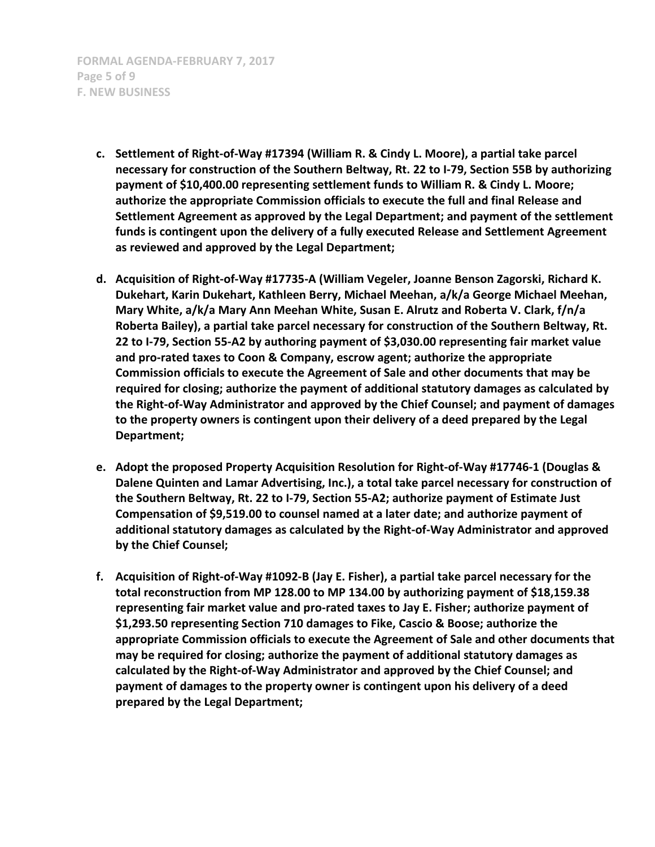**FORMAL AGENDA-FEBRUARY 7, 2017 Page 5 of 9 F. NEW BUSINESS**

- **c. Settlement of Right-of-Way #17394 (William R. & Cindy L. Moore), a partial take parcel necessary for construction of the Southern Beltway, Rt. 22 to I-79, Section 55B by authorizing payment of \$10,400.00 representing settlement funds to William R. & Cindy L. Moore; authorize the appropriate Commission officials to execute the full and final Release and Settlement Agreement as approved by the Legal Department; and payment of the settlement funds is contingent upon the delivery of a fully executed Release and Settlement Agreement as reviewed and approved by the Legal Department;**
- **d. Acquisition of Right-of-Way #17735-A (William Vegeler, Joanne Benson Zagorski, Richard K. Dukehart, Karin Dukehart, Kathleen Berry, Michael Meehan, a/k/a George Michael Meehan, Mary White, a/k/a Mary Ann Meehan White, Susan E. Alrutz and Roberta V. Clark, f/n/a Roberta Bailey), a partial take parcel necessary for construction of the Southern Beltway, Rt. 22 to I-79, Section 55-A2 by authoring payment of \$3,030.00 representing fair market value and pro-rated taxes to Coon & Company, escrow agent; authorize the appropriate Commission officials to execute the Agreement of Sale and other documents that may be required for closing; authorize the payment of additional statutory damages as calculated by the Right-of-Way Administrator and approved by the Chief Counsel; and payment of damages to the property owners is contingent upon their delivery of a deed prepared by the Legal Department;**
- **e. Adopt the proposed Property Acquisition Resolution for Right-of-Way #17746-1 (Douglas & Dalene Quinten and Lamar Advertising, Inc.), a total take parcel necessary for construction of the Southern Beltway, Rt. 22 to I-79, Section 55-A2; authorize payment of Estimate Just Compensation of \$9,519.00 to counsel named at a later date; and authorize payment of additional statutory damages as calculated by the Right-of-Way Administrator and approved by the Chief Counsel;**
- **f. Acquisition of Right-of-Way #1092-B (Jay E. Fisher), a partial take parcel necessary for the total reconstruction from MP 128.00 to MP 134.00 by authorizing payment of \$18,159.38 representing fair market value and pro-rated taxes to Jay E. Fisher; authorize payment of \$1,293.50 representing Section 710 damages to Fike, Cascio & Boose; authorize the appropriate Commission officials to execute the Agreement of Sale and other documents that may be required for closing; authorize the payment of additional statutory damages as calculated by the Right-of-Way Administrator and approved by the Chief Counsel; and payment of damages to the property owner is contingent upon his delivery of a deed prepared by the Legal Department;**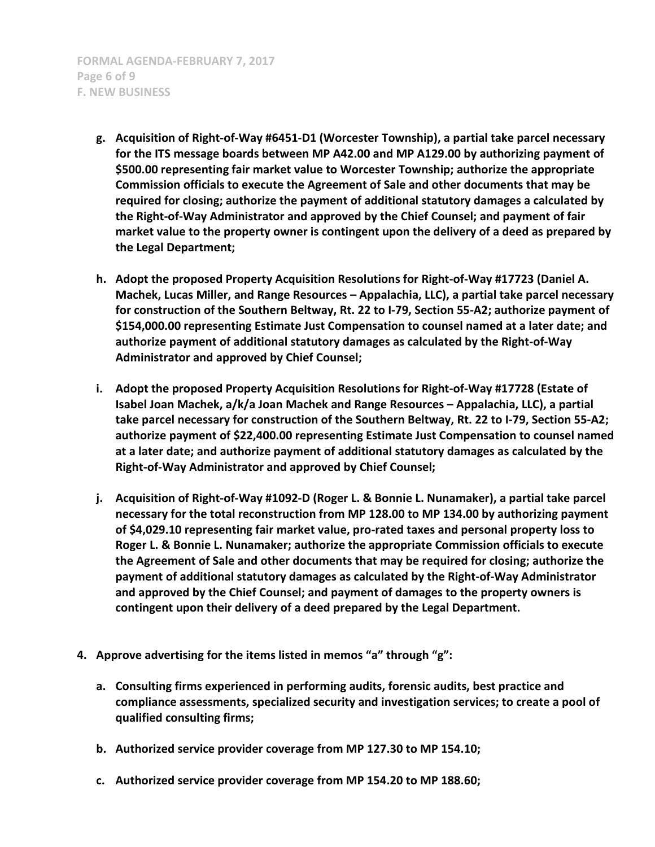**FORMAL AGENDA-FEBRUARY 7, 2017 Page 6 of 9 F. NEW BUSINESS**

- **g. Acquisition of Right-of-Way #6451-D1 (Worcester Township), a partial take parcel necessary for the ITS message boards between MP A42.00 and MP A129.00 by authorizing payment of \$500.00 representing fair market value to Worcester Township; authorize the appropriate Commission officials to execute the Agreement of Sale and other documents that may be required for closing; authorize the payment of additional statutory damages a calculated by the Right-of-Way Administrator and approved by the Chief Counsel; and payment of fair market value to the property owner is contingent upon the delivery of a deed as prepared by the Legal Department;**
- **h. Adopt the proposed Property Acquisition Resolutions for Right-of-Way #17723 (Daniel A. Machek, Lucas Miller, and Range Resources – Appalachia, LLC), a partial take parcel necessary for construction of the Southern Beltway, Rt. 22 to I-79, Section 55-A2; authorize payment of \$154,000.00 representing Estimate Just Compensation to counsel named at a later date; and authorize payment of additional statutory damages as calculated by the Right-of-Way Administrator and approved by Chief Counsel;**
- **i. Adopt the proposed Property Acquisition Resolutions for Right-of-Way #17728 (Estate of Isabel Joan Machek, a/k/a Joan Machek and Range Resources – Appalachia, LLC), a partial take parcel necessary for construction of the Southern Beltway, Rt. 22 to I-79, Section 55-A2; authorize payment of \$22,400.00 representing Estimate Just Compensation to counsel named at a later date; and authorize payment of additional statutory damages as calculated by the Right-of-Way Administrator and approved by Chief Counsel;**
- **j. Acquisition of Right-of-Way #1092-D (Roger L. & Bonnie L. Nunamaker), a partial take parcel necessary for the total reconstruction from MP 128.00 to MP 134.00 by authorizing payment of \$4,029.10 representing fair market value, pro-rated taxes and personal property loss to Roger L. & Bonnie L. Nunamaker; authorize the appropriate Commission officials to execute the Agreement of Sale and other documents that may be required for closing; authorize the payment of additional statutory damages as calculated by the Right-of-Way Administrator and approved by the Chief Counsel; and payment of damages to the property owners is contingent upon their delivery of a deed prepared by the Legal Department.**
- **4. Approve advertising for the items listed in memos "a" through "g":**
	- **a. Consulting firms experienced in performing audits, forensic audits, best practice and compliance assessments, specialized security and investigation services; to create a pool of qualified consulting firms;**
	- **b. Authorized service provider coverage from MP 127.30 to MP 154.10;**
	- **c. Authorized service provider coverage from MP 154.20 to MP 188.60;**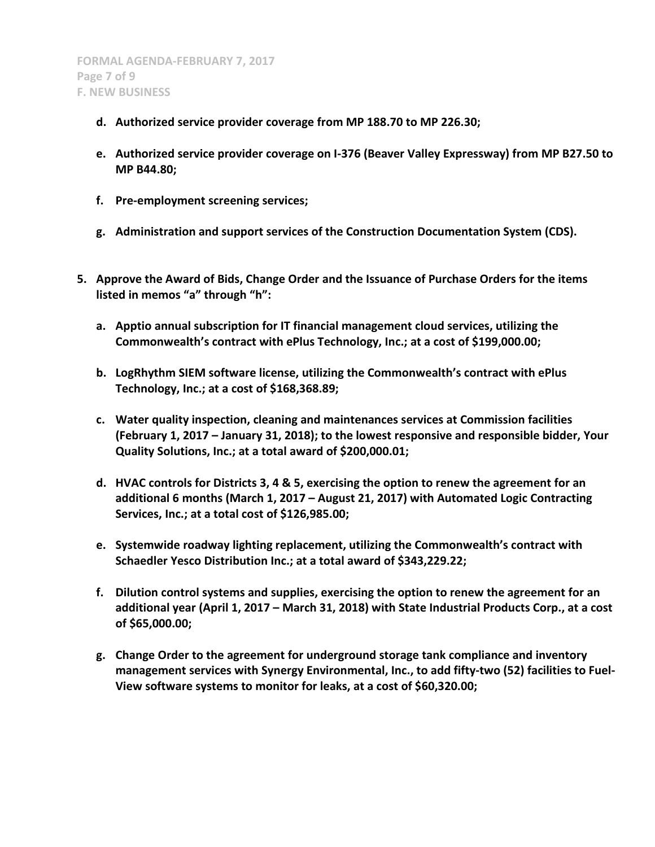- **d. Authorized service provider coverage from MP 188.70 to MP 226.30;**
- **e. Authorized service provider coverage on I-376 (Beaver Valley Expressway) from MP B27.50 to MP B44.80;**
- **f. Pre-employment screening services;**
- **g. Administration and support services of the Construction Documentation System (CDS).**
- **5. Approve the Award of Bids, Change Order and the Issuance of Purchase Orders for the items listed in memos "a" through "h":**
	- **a. Apptio annual subscription for IT financial management cloud services, utilizing the Commonwealth's contract with ePlus Technology, Inc.; at a cost of \$199,000.00;**
	- **b. LogRhythm SIEM software license, utilizing the Commonwealth's contract with ePlus Technology, Inc.; at a cost of \$168,368.89;**
	- **c. Water quality inspection, cleaning and maintenances services at Commission facilities (February 1, 2017 – January 31, 2018); to the lowest responsive and responsible bidder, Your Quality Solutions, Inc.; at a total award of \$200,000.01;**
	- **d. HVAC controls for Districts 3, 4 & 5, exercising the option to renew the agreement for an additional 6 months (March 1, 2017 – August 21, 2017) with Automated Logic Contracting Services, Inc.; at a total cost of \$126,985.00;**
	- **e. Systemwide roadway lighting replacement, utilizing the Commonwealth's contract with Schaedler Yesco Distribution Inc.; at a total award of \$343,229.22;**
	- **f. Dilution control systems and supplies, exercising the option to renew the agreement for an additional year (April 1, 2017 – March 31, 2018) with State Industrial Products Corp., at a cost of \$65,000.00;**
	- **g. Change Order to the agreement for underground storage tank compliance and inventory management services with Synergy Environmental, Inc., to add fifty-two (52) facilities to Fuel-View software systems to monitor for leaks, at a cost of \$60,320.00;**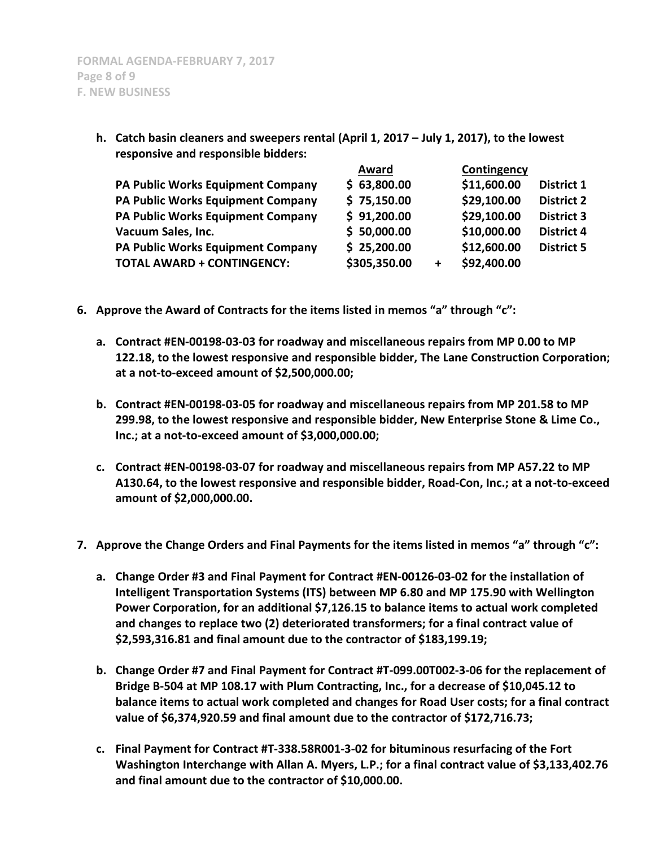| responsive and responsible bidders: |              |           |             |                   |
|-------------------------------------|--------------|-----------|-------------|-------------------|
|                                     | Award        |           | Contingency |                   |
| PA Public Works Equipment Company   | \$63,800.00  |           | \$11,600.00 | <b>District 1</b> |
| PA Public Works Equipment Company   | \$75,150.00  |           | \$29,100.00 | <b>District 2</b> |
| PA Public Works Equipment Company   | \$91,200.00  |           | \$29,100.00 | <b>District 3</b> |
| Vacuum Sales, Inc.                  | \$50,000.00  |           | \$10,000.00 | <b>District 4</b> |
| PA Public Works Equipment Company   | \$25,200.00  |           | \$12,600.00 | <b>District 5</b> |
| <b>TOTAL AWARD + CONTINGENCY:</b>   | \$305,350.00 | $\ddot{}$ | \$92,400.00 |                   |
|                                     |              |           |             |                   |

**h. Catch basin cleaners and sweepers rental (April 1, 2017 – July 1, 2017), to the lowest responsive and responsible bidders:**

- **6. Approve the Award of Contracts for the items listed in memos "a" through "c":**
	- **a. Contract #EN-00198-03-03 for roadway and miscellaneous repairs from MP 0.00 to MP 122.18, to the lowest responsive and responsible bidder, The Lane Construction Corporation; at a not-to-exceed amount of \$2,500,000.00;**
	- **b. Contract #EN-00198-03-05 for roadway and miscellaneous repairs from MP 201.58 to MP 299.98, to the lowest responsive and responsible bidder, New Enterprise Stone & Lime Co., Inc.; at a not-to-exceed amount of \$3,000,000.00;**
	- **c. Contract #EN-00198-03-07 for roadway and miscellaneous repairs from MP A57.22 to MP A130.64, to the lowest responsive and responsible bidder, Road-Con, Inc.; at a not-to-exceed amount of \$2,000,000.00.**
- **7. Approve the Change Orders and Final Payments for the items listed in memos "a" through "c":**
	- **a. Change Order #3 and Final Payment for Contract #EN-00126-03-02 for the installation of Intelligent Transportation Systems (ITS) between MP 6.80 and MP 175.90 with Wellington Power Corporation, for an additional \$7,126.15 to balance items to actual work completed and changes to replace two (2) deteriorated transformers; for a final contract value of \$2,593,316.81 and final amount due to the contractor of \$183,199.19;**
	- **b. Change Order #7 and Final Payment for Contract #T-099.00T002-3-06 for the replacement of Bridge B-504 at MP 108.17 with Plum Contracting, Inc., for a decrease of \$10,045.12 to balance items to actual work completed and changes for Road User costs; for a final contract value of \$6,374,920.59 and final amount due to the contractor of \$172,716.73;**
	- **c. Final Payment for Contract #T-338.58R001-3-02 for bituminous resurfacing of the Fort Washington Interchange with Allan A. Myers, L.P.; for a final contract value of \$3,133,402.76 and final amount due to the contractor of \$10,000.00.**